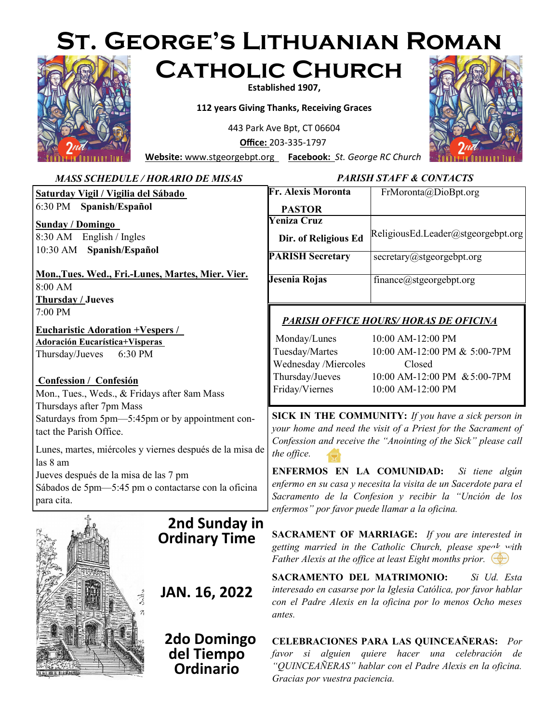# **St. George's Lithuanian Roman Catholic Church**



#### **Established 1907,**

**112 years Giving Thanks, Receiving Graces**

443 Park Ave Bpt, CT 06604

**Office:** 203-335-1797

**Website:** [www.stgeorgebpt.org](http://www.stannblackrock.com/) **Facebook:** *St. George RC Church*



#### MAY 24 *Sacramento de la Confesion y recibir la "Unción de los*  **Saturday Vigil / Vigilia del Sábado**  6:30 PM **Spanish/Español Sunday / Domingo**  8:30 AM English / Ingles 10:30 AM **Spanish/Español Mon.,Tues. Wed., Fri.-Lunes, Martes, Mier. Vier.**  8:00 AM **Thursday / Jueves**  7:00 PM **Eucharistic Adoration +Vespers / Adoración Eucarística+Visperas**  Thursday/Jueves 6:30 PM **Confession / Confesión**  Mon., Tues., Weds., & Fridays after 8am Mass Thursdays after 7pm Mass Saturdays from 5pm—5:45pm or by appointment contact the Parish Office. Lunes, martes, miércoles y viernes después de la misa de las 8 am Jueves después de la misa de las 7 pm Sábados de 5pm—5:45 pm o contactarse con la oficina para cita. *MASS SCHEDULE / HORARIO DE MISAS* **Fr. Alexis Moronta PASTOR** FrMoronta@DioBpt.org **Yeniza Cruz Dir. of Religious Ed** ReligiousEd.Leader@stgeorgebpt.org **PARISH Secretary** secretary@stgeorgebpt.org **Jesenia Rojas** finance@stgeorgebpt.org *PARISH STAFF & CONTACTS PARISH OFFICE HOURS/ HORAS DE OFICINA* Monday/Lunes 10:00 AM-12:00 PM Tuesday/Martes 10:00 AM-12:00 PM & 5:00-7PM Wednesday /Miercoles Closed Thursday/Jueves 10:00 AM-12:00 PM &5:00-7PM Friday/Viernes 10:00 AM-12:00 PM **SICK IN THE COMMUNITY:** *If you have a sick person in your home and need the visit of a Priest for the Sacrament of Confession and receive the "Anointing of the Sick" please call the office.* **ENFERMOS EN LA COMUNIDAD:** *Si tiene algún enfermo en su casa y necesita la visita de un Sacerdote para el enfermos" por favor puede llamar a la oficina.* **SACRAMENT OF MARRIAGE:** *If you are interested in getting married in the Catholic Church, please speak with Father Alexis at the office at least Eight months prior.* **SACRAMENTO DEL MATRIMONIO:** *Si Ud. Esta interesado en casarse por la Iglesia Católica, por favor hablar con el Padre Alexis en la oficina por lo menos Ocho meses antes.*  **2nd Sunday in Ordinary Time JAN. 16, 2022**

 **2do Domingo del Tiempo Ordinario**

**CELEBRACIONES PARA LAS QUINCEAÑERAS:** *Por favor si alguien quiere hacer una celebración de "QUINCEAÑERAS" hablar con el Padre Alexis en la oficina. Gracias por vuestra paciencia.*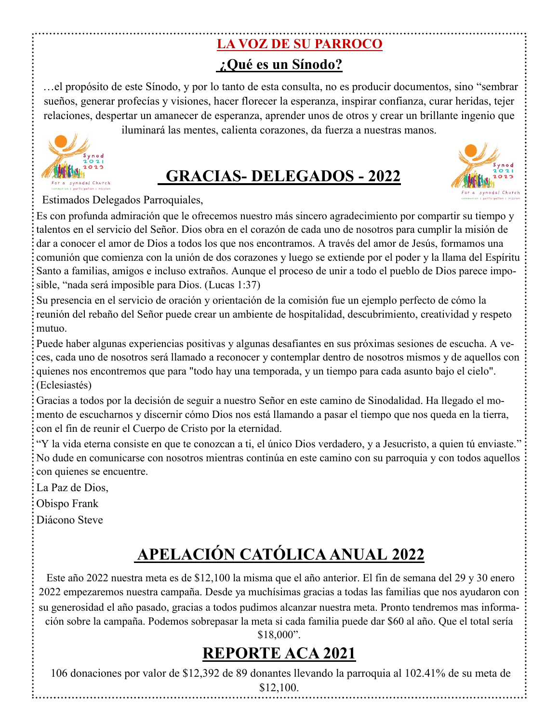#### **LA VOZ DE SU PARROCO ¿Qué es un Sínodo?**

…el propósito de este Sínodo, y por lo tanto de esta consulta, no es producir documentos, sino "sembrar sueños, generar profecías y visiones, hacer florecer la esperanza, inspirar confianza, curar heridas, tejer relaciones, despertar un amanecer de esperanza, aprender unos de otros y crear un brillante ingenio que

iluminará las mentes, calienta corazones, da fuerza a nuestras manos.



# **GRACIAS- DELEGADOS - 2022**



Estimados Delegados Parroquiales,

Es con profunda admiración que le ofrecemos nuestro más sincero agradecimiento por compartir su tiempo y talentos en el servicio del Señor. Dios obra en el corazón de cada uno de nosotros para cumplir la misión de dar a conocer el amor de Dios a todos los que nos encontramos. A través del amor de Jesús, formamos una comunión que comienza con la unión de dos corazones y luego se extiende por el poder y la llama del Espíritu Santo a familias, amigos e incluso extraños. Aunque el proceso de unir a todo el pueblo de Dios parece imposible, "nada será imposible para Dios. (Lucas 1:37)

Su presencia en el servicio de oración y orientación de la comisión fue un ejemplo perfecto de cómo la reunión del rebaño del Señor puede crear un ambiente de hospitalidad, descubrimiento, creatividad y respeto mutuo.

Puede haber algunas experiencias positivas y algunas desafiantes en sus próximas sesiones de escucha. A veces, cada uno de nosotros será llamado a reconocer y contemplar dentro de nosotros mismos y de aquellos con quienes nos encontremos que para "todo hay una temporada, y un tiempo para cada asunto bajo el cielo". (Eclesiastés)

Gracias a todos por la decisión de seguir a nuestro Señor en este camino de Sinodalidad. Ha llegado el momento de escucharnos y discernir cómo Dios nos está llamando a pasar el tiempo que nos queda en la tierra, con el fin de reunir el Cuerpo de Cristo por la eternidad.

"Y la vida eterna consiste en que te conozcan a ti, el único Dios verdadero, y a Jesucristo, a quien tú enviaste." No dude en comunicarse con nosotros mientras continúa en este camino con su parroquia y con todos aquellos con quienes se encuentre.

La Paz de Dios,

Obispo Frank

Diácono Steve

# **APELACIÓN CATÓLICA ANUAL 2022**

Este año 2022 nuestra meta es de \$12,100 la misma que el año anterior. El fin de semana del 29 y 30 enero 2022 empezaremos nuestra campaña. Desde ya muchísimas gracias a todas las familias que nos ayudaron con su generosidad el año pasado, gracias a todos pudimos alcanzar nuestra meta. Pronto tendremos mas información sobre la campaña. Podemos sobrepasar la meta si cada familia puede dar \$60 al año. Que el total sería \$18,000".

# **REPORTE ACA 2021**

106 donaciones por valor de \$12,392 de 89 donantes llevando la parroquia al 102.41% de su meta de \$12,100.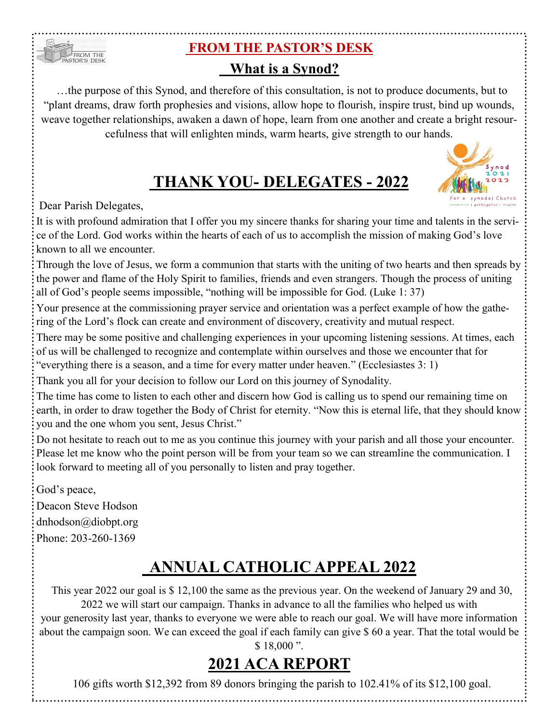#### **FROM THE PASTOR'S DESK**

#### **What is a Synod?**

 …the purpose of this Synod, and therefore of this consultation, is not to produce documents, but to "plant dreams, draw forth prophesies and visions, allow hope to flourish, inspire trust, bind up wounds, weave together relationships, awaken a dawn of hope, learn from one another and create a bright resourcefulness that will enlighten minds, warm hearts, give strength to our hands.

#### **THANK YOU- DELEGATES - 2022**

iynod



FROM THE

It is with profound admiration that I offer you my sincere thanks for sharing your time and talents in the service of the Lord. God works within the hearts of each of us to accomplish the mission of making God's love known to all we encounter.

Through the love of Jesus, we form a communion that starts with the uniting of two hearts and then spreads by the power and flame of the Holy Spirit to families, friends and even strangers. Though the process of uniting all of God's people seems impossible, "nothing will be impossible for God. (Luke 1: 37)

Your presence at the commissioning prayer service and orientation was a perfect example of how the gathering of the Lord's flock can create and environment of discovery, creativity and mutual respect.

There may be some positive and challenging experiences in your upcoming listening sessions. At times, each of us will be challenged to recognize and contemplate within ourselves and those we encounter that for "everything there is a season, and a time for every matter under heaven." (Ecclesiastes 3: 1)

Thank you all for your decision to follow our Lord on this journey of Synodality.

The time has come to listen to each other and discern how God is calling us to spend our remaining time on earth, in order to draw together the Body of Christ for eternity. "Now this is eternal life, that they should know you and the one whom you sent, Jesus Christ."

Do not hesitate to reach out to me as you continue this journey with your parish and all those your encounter. Please let me know who the point person will be from your team so we can streamline the communication. I look forward to meeting all of you personally to listen and pray together.

God's peace,

Deacon Steve Hodson dnhodson@diobpt.org Phone: 203-260-1369

## **ANNUAL CATHOLIC APPEAL 2022**

 This year 2022 our goal is \$ 12,100 the same as the previous year. On the weekend of January 29 and 30, 2022 we will start our campaign. Thanks in advance to all the families who helped us with your generosity last year, thanks to everyone we were able to reach our goal. We will have more information about the campaign soon. We can exceed the goal if each family can give \$ 60 a year. That the total would be \$18,000 ".

## **2021 ACA REPORT**

106 gifts worth \$12,392 from 89 donors bringing the parish to 102.41% of its \$12,100 goal.